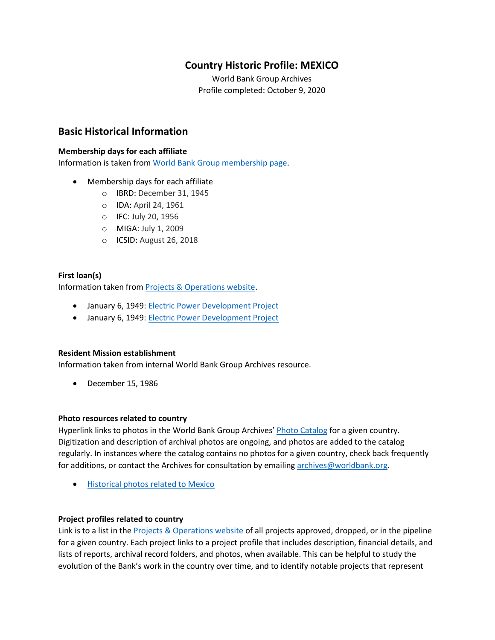## **Country Historic Profile: MEXICO**

World Bank Group Archives Profile completed: October 9, 2020

### **Basic Historical Information**

#### **Membership days for each affiliate**

Information is taken from [World Bank Group membership page.](https://www.worldbank.org/en/about/leadership/members#1)

- Membership days for each affiliate
	- o IBRD: December 31, 1945
	- o IDA: April 24, 1961
	- o IFC: July 20, 1956
	- o MIGA: July 1, 2009
	- o ICSID: August 26, 2018

#### **First loan(s)**

Information taken from [Projects & Operations website.](https://projects.worldbank.org/)

- January 6, 1949[: Electric Power Development Project](https://projects.worldbank.org/en/projects-operations/project-detail/P007497)
- January 6, 1949: **Electric Power Development Project**

#### **Resident Mission establishment**

Information taken from internal World Bank Group Archives resource.

• December 15, 1986

#### **Photo resources related to country**

Hyperlink links to photos in the World Bank Group Archives' [Photo Catalog](https://archivesphotos.worldbank.org/en/about/archives/photo-gallery) for a given country. Digitization and description of archival photos are ongoing, and photos are added to the catalog regularly. In instances where the catalog contains no photos for a given country, check back frequently for additions, or contact the Archives for consultation by emailing [archives@worldbank.org.](mailto:archives@worldbank.org)

• [Historical photos related to Mexico](https://archivesphotos.worldbank.org/en/about/archives/photo-gallery/photo-gallery-landing?wbg_country=Mexico)

#### **Project profiles related to country**

Link is to a list in the [Projects & Operations website](https://projects.worldbank.org/) of all projects approved, dropped, or in the pipeline for a given country. Each project links to a project profile that includes description, financial details, and lists of reports, archival record folders, and photos, when available. This can be helpful to study the evolution of the Bank's work in the country over time, and to identify notable projects that represent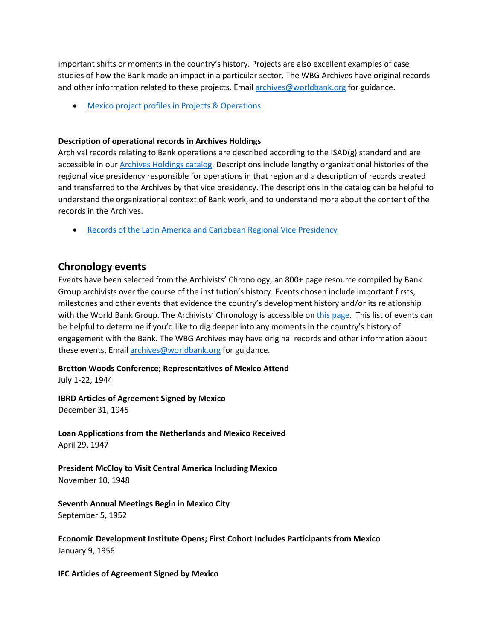important shifts or moments in the country's history. Projects are also excellent examples of case studies of how the Bank made an impact in a particular sector. The WBG Archives have original records and other information related to these projects. Email [archives@worldbank.org](mailto:archives@worldbank.org) for guidance.

• [Mexico project profiles in Projects & Operations](https://projects.worldbank.org/en/projects-operations/projects-summary?countrycode_exact=MX)

#### **Description of operational records in Archives Holdings**

Archival records relating to Bank operations are described according to the ISAD(g) standard and are accessible in our [Archives Holdings catalog.](https://archivesholdings.worldbank.org/) Descriptions include lengthy organizational histories of the regional vice presidency responsible for operations in that region and a description of records created and transferred to the Archives by that vice presidency. The descriptions in the catalog can be helpful to understand the organizational context of Bank work, and to understand more about the content of the records in the Archives.

• [Records of the Latin America and Caribbean Regional Vice Presidency](https://archivesholdings.worldbank.org/records-of-latin-america-and-caribbean-regional-vice-presidency)

#### **Chronology events**

Events have been selected from the Archivists' Chronology, an 800+ page resource compiled by Bank Group archivists over the course of the institution's history. Events chosen include important firsts, milestones and other events that evidence the country's development history and/or its relationship with the World Bank Group. The Archivists' Chronology is accessible on [this page.](https://www.worldbank.org/en/about/archives/history/timeline) This list of events can be helpful to determine if you'd like to dig deeper into any moments in the country's history of engagement with the Bank. The WBG Archives may have original records and other information about these events. Email [archives@worldbank.org](mailto:archives@worldbank.org) for guidance.

#### **Bretton Woods Conference; Representatives of Mexico Attend**

July 1-22, 1944

**IBRD Articles of Agreement Signed by Mexico** December 31, 1945

**Loan Applications from the Netherlands and Mexico Received** April 29, 1947

**President McCloy to Visit Central America Including Mexico** November 10, 1948

**Seventh Annual Meetings Begin in Mexico City** September 5, 1952

**Economic Development Institute Opens; First Cohort Includes Participants from Mexico** January 9, 1956

**IFC Articles of Agreement Signed by Mexico**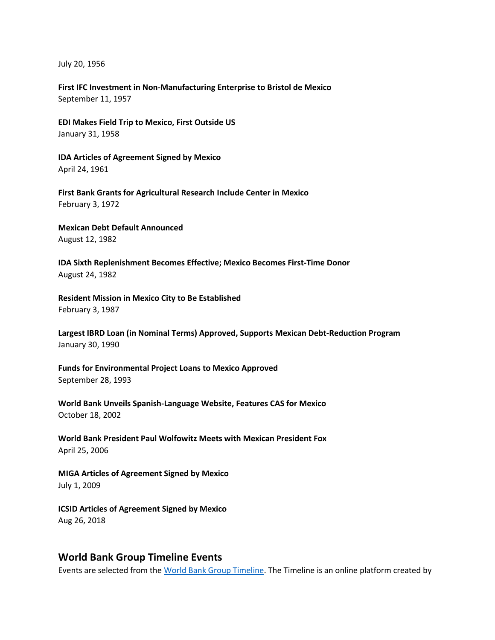July 20, 1956

**First IFC Investment in Non-Manufacturing Enterprise to Bristol de Mexico** September 11, 1957

**EDI Makes Field Trip to Mexico, First Outside US** January 31, 1958

**IDA Articles of Agreement Signed by Mexico** April 24, 1961

**First Bank Grants for Agricultural Research Include Center in Mexico** February 3, 1972

**Mexican Debt Default Announced** August 12, 1982

**IDA Sixth Replenishment Becomes Effective; Mexico Becomes First-Time Donor** August 24, 1982

**Resident Mission in Mexico City to Be Established** February 3, 1987

**Largest IBRD Loan (in Nominal Terms) Approved, Supports Mexican Debt-Reduction Program** January 30, 1990

**Funds for Environmental Project Loans to Mexico Approved** September 28, 1993

**World Bank Unveils Spanish-Language Website, Features CAS for Mexico** October 18, 2002

**World Bank President Paul Wolfowitz Meets with Mexican President Fox** April 25, 2006

**MIGA Articles of Agreement Signed by Mexico** July 1, 2009

**ICSID Articles of Agreement Signed by Mexico** Aug 26, 2018

#### **World Bank Group Timeline Events**

Events are selected from th[e World Bank Group Timeline.](https://timeline.worldbank.org/#event-bretton-woods-conference-begins) The Timeline is an online platform created by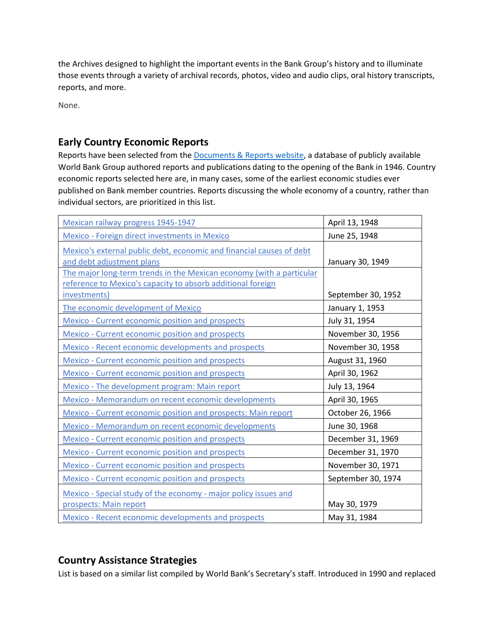the Archives designed to highlight the important events in the Bank Group's history and to illuminate those events through a variety of archival records, photos, video and audio clips, oral history transcripts, reports, and more.

None.

# **Early Country Economic Reports**

Reports have been selected from the **Documents & Reports website**, a database of publicly available World Bank Group authored reports and publications dating to the opening of the Bank in 1946. Country economic reports selected here are, in many cases, some of the earliest economic studies ever published on Bank member countries. Reports discussing the whole economy of a country, rather than individual sectors, are prioritized in this list.

| Mexican railway progress 1945-1947                                   | April 13, 1948     |
|----------------------------------------------------------------------|--------------------|
| Mexico - Foreign direct investments in Mexico                        | June 25, 1948      |
| Mexico's external public debt, economic and financial causes of debt |                    |
| and debt adjustment plans                                            | January 30, 1949   |
| The major long-term trends in the Mexican economy (with a particular |                    |
| reference to Mexico's capacity to absorb additional foreign          |                    |
| investments)                                                         | September 30, 1952 |
| The economic development of Mexico                                   | January 1, 1953    |
| <b>Mexico - Current economic position and prospects</b>              | July 31, 1954      |
| <b>Mexico - Current economic position and prospects</b>              | November 30, 1956  |
| <b>Mexico - Recent economic developments and prospects</b>           | November 30, 1958  |
| <b>Mexico - Current economic position and prospects</b>              | August 31, 1960    |
| <b>Mexico - Current economic position and prospects</b>              | April 30, 1962     |
| Mexico - The development program: Main report                        | July 13, 1964      |
| Mexico - Memorandum on recent economic developments                  | April 30, 1965     |
| Mexico - Current economic position and prospects: Main report        | October 26, 1966   |
| Mexico - Memorandum on recent economic developments                  | June 30, 1968      |
| <b>Mexico - Current economic position and prospects</b>              | December 31, 1969  |
| <b>Mexico - Current economic position and prospects</b>              | December 31, 1970  |
| <b>Mexico - Current economic position and prospects</b>              | November 30, 1971  |
| <b>Mexico - Current economic position and prospects</b>              | September 30, 1974 |
| Mexico - Special study of the economy - major policy issues and      |                    |
| prospects: Main report                                               | May 30, 1979       |
| Mexico - Recent economic developments and prospects                  | May 31, 1984       |

## **Country Assistance Strategies**

List is based on a similar list compiled by World Bank's Secretary's staff. Introduced in 1990 and replaced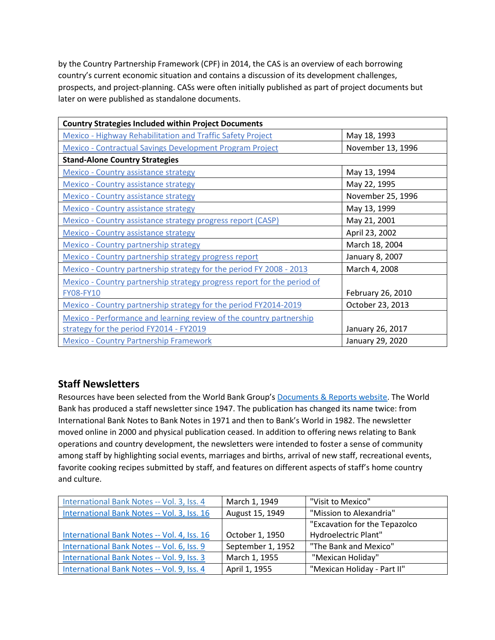by the Country Partnership Framework (CPF) in 2014, the CAS is an overview of each borrowing country's current economic situation and contains a discussion of its development challenges, prospects, and project-planning. CASs were often initially published as part of project documents but later on were published as standalone documents.

| <b>Country Strategies Included within Project Documents</b>             |                   |
|-------------------------------------------------------------------------|-------------------|
| <b>Mexico - Highway Rehabilitation and Traffic Safety Project</b>       | May 18, 1993      |
| <b>Mexico - Contractual Savings Development Program Project</b>         | November 13, 1996 |
| <b>Stand-Alone Country Strategies</b>                                   |                   |
| <b>Mexico - Country assistance strategy</b>                             | May 13, 1994      |
| Mexico - Country assistance strategy                                    | May 22, 1995      |
| Mexico - Country assistance strategy                                    | November 25, 1996 |
| Mexico - Country assistance strategy                                    | May 13, 1999      |
| Mexico - Country assistance strategy progress report (CASP)             | May 21, 2001      |
| <b>Mexico - Country assistance strategy</b>                             | April 23, 2002    |
| Mexico - Country partnership strategy                                   | March 18, 2004    |
| Mexico - Country partnership strategy progress report                   | January 8, 2007   |
| Mexico - Country partnership strategy for the period FY 2008 - 2013     | March 4, 2008     |
| Mexico - Country partnership strategy progress report for the period of |                   |
| <b>FY08-FY10</b>                                                        | February 26, 2010 |
| Mexico - Country partnership strategy for the period FY2014-2019        | October 23, 2013  |
| Mexico - Performance and learning review of the country partnership     |                   |
| strategy for the period FY2014 - FY2019                                 | January 26, 2017  |
| <b>Mexico - Country Partnership Framework</b>                           | January 29, 2020  |

# **Staff Newsletters**

Resources have been selected from the World Bank Group's [Documents & Reports website.](https://documents.worldbank.org/) The World Bank has produced a staff newsletter since 1947. The publication has changed its name twice: from International Bank Notes to Bank Notes in 1971 and then to Bank's World in 1982. The newsletter moved online in 2000 and physical publication ceased. In addition to offering news relating to Bank operations and country development, the newsletters were intended to foster a sense of community among staff by highlighting social events, marriages and births, arrival of new staff, recreational events, favorite cooking recipes submitted by staff, and features on different aspects of staff's home country and culture.

| International Bank Notes -- Vol. 3, Iss. 4  | March 1, 1949     | "Visit to Mexico"             |
|---------------------------------------------|-------------------|-------------------------------|
| International Bank Notes -- Vol. 3, Iss. 16 | August 15, 1949   | "Mission to Alexandria"       |
|                                             |                   | "Excavation for the Tepazolco |
| International Bank Notes -- Vol. 4, Iss. 16 | October 1, 1950   | Hydroelectric Plant"          |
| International Bank Notes -- Vol. 6, Iss. 9  | September 1, 1952 | "The Bank and Mexico"         |
| International Bank Notes -- Vol. 9, Iss. 3  | March 1, 1955     | "Mexican Holiday"             |
| International Bank Notes -- Vol. 9, Iss. 4  | April 1, 1955     | "Mexican Holiday - Part II"   |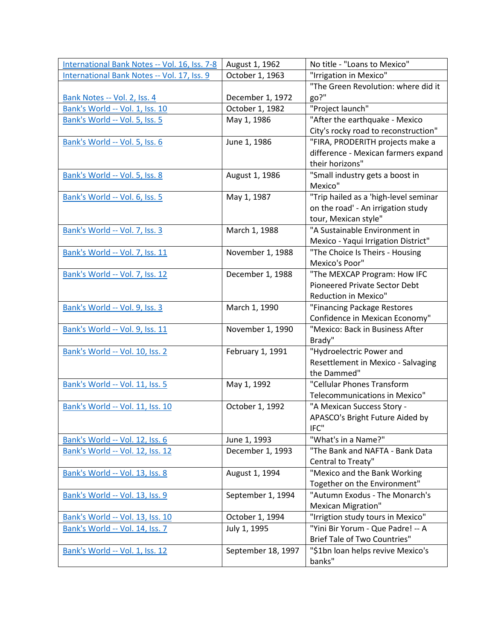| International Bank Notes -- Vol. 16, Iss. 7-8 | August 1, 1962     | No title - "Loans to Mexico"                                  |
|-----------------------------------------------|--------------------|---------------------------------------------------------------|
| International Bank Notes -- Vol. 17, Iss. 9   | October 1, 1963    | "Irrigation in Mexico"                                        |
|                                               |                    | "The Green Revolution: where did it                           |
| Bank Notes -- Vol. 2, Iss. 4                  | December 1, 1972   | go?"                                                          |
| Bank's World -- Vol. 1, Iss. 10               | October 1, 1982    | "Project launch"                                              |
| Bank's World -- Vol. 5, Iss. 5                | May 1, 1986        | "After the earthquake - Mexico                                |
|                                               |                    | City's rocky road to reconstruction"                          |
| Bank's World -- Vol. 5, Iss. 6                | June 1, 1986       | "FIRA, PRODERITH projects make a                              |
|                                               |                    | difference - Mexican farmers expand                           |
|                                               |                    | their horizons"                                               |
| Bank's World -- Vol. 5, Iss. 8                | August 1, 1986     | "Small industry gets a boost in                               |
|                                               |                    | Mexico"                                                       |
| Bank's World -- Vol. 6, Iss. 5                | May 1, 1987        | "Trip hailed as a 'high-level seminar                         |
|                                               |                    | on the road' - An irrigation study                            |
|                                               |                    | tour, Mexican style"                                          |
| Bank's World -- Vol. 7, Iss. 3                | March 1, 1988      | "A Sustainable Environment in                                 |
|                                               |                    | Mexico - Yaqui Irrigation District"                           |
| Bank's World -- Vol. 7, Iss. 11               | November 1, 1988   | "The Choice Is Theirs - Housing                               |
|                                               |                    | Mexico's Poor"                                                |
| Bank's World -- Vol. 7, Iss. 12               | December 1, 1988   | "The MEXCAP Program: How IFC                                  |
|                                               |                    | Pioneered Private Sector Debt                                 |
|                                               |                    | <b>Reduction in Mexico"</b>                                   |
| Bank's World -- Vol. 9, Iss. 3                | March 1, 1990      | "Financing Package Restores                                   |
|                                               |                    | Confidence in Mexican Economy"                                |
| Bank's World -- Vol. 9, Iss. 11               | November 1, 1990   | "Mexico: Back in Business After                               |
|                                               |                    | Brady"                                                        |
| Bank's World -- Vol. 10, Iss. 2               | February 1, 1991   | "Hydroelectric Power and                                      |
|                                               |                    | Resettlement in Mexico - Salvaging                            |
|                                               |                    | the Dammed"<br>"Cellular Phones Transform                     |
| Bank's World -- Vol. 11, Iss. 5               | May 1, 1992        | Telecommunications in Mexico"                                 |
|                                               |                    |                                                               |
| Bank's World -- Vol. 11, Iss. 10              | October 1, 1992    | "A Mexican Success Story -<br>APASCO's Bright Future Aided by |
|                                               |                    | IFC"                                                          |
| Bank's World -- Vol. 12, Iss. 6               | June 1, 1993       | "What's in a Name?"                                           |
| Bank's World -- Vol. 12, Iss. 12              | December 1, 1993   | "The Bank and NAFTA - Bank Data                               |
|                                               |                    | Central to Treaty"                                            |
| Bank's World -- Vol. 13, Iss. 8               | August 1, 1994     | "Mexico and the Bank Working                                  |
|                                               |                    | Together on the Environment"                                  |
| Bank's World -- Vol. 13, Iss. 9               | September 1, 1994  | "Autumn Exodus - The Monarch's                                |
|                                               |                    | <b>Mexican Migration"</b>                                     |
| Bank's World -- Vol. 13, Iss. 10              | October 1, 1994    | "Irrigtion study tours in Mexico"                             |
| Bank's World -- Vol. 14, Iss. 7               | July 1, 1995       | "Yini Bir Yorum - Que Padre! -- A                             |
|                                               |                    | <b>Brief Tale of Two Countries"</b>                           |
| Bank's World -- Vol. 1, Iss. 12               | September 18, 1997 | "\$1bn loan helps revive Mexico's                             |
|                                               |                    | banks"                                                        |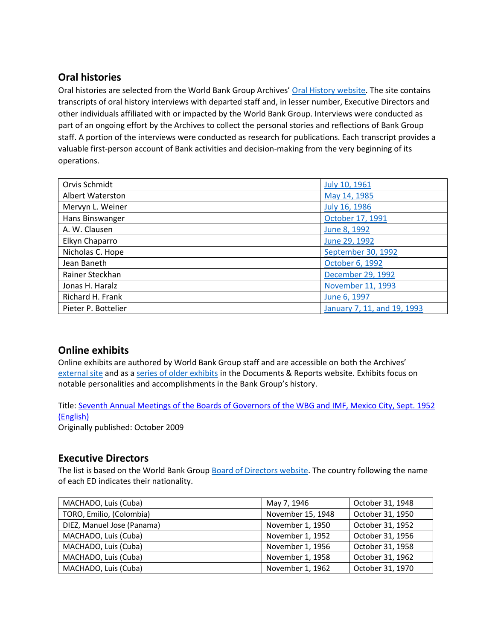# **Oral histories**

Oral histories are selected from the World Bank Group Archives' [Oral History website.](https://oralhistory.worldbank.org/) The site contains transcripts of oral history interviews with departed staff and, in lesser number, Executive Directors and other individuals affiliated with or impacted by the World Bank Group. Interviews were conducted as part of an ongoing effort by the Archives to collect the personal stories and reflections of Bank Group staff. A portion of the interviews were conducted as research for publications. Each transcript provides a valuable first-person account of Bank activities and decision-making from the very beginning of its operations.

| Orvis Schmidt       | July 10, 1961               |
|---------------------|-----------------------------|
| Albert Waterston    | May 14, 1985                |
| Mervyn L. Weiner    | July 16, 1986               |
| Hans Binswanger     | October 17, 1991            |
| A. W. Clausen       | June 8, 1992                |
| Elkyn Chaparro      | June 29, 1992               |
| Nicholas C. Hope    | September 30, 1992          |
| Jean Baneth         | October 6, 1992             |
| Rainer Steckhan     | December 29, 1992           |
| Jonas H. Haralz     | November 11, 1993           |
| Richard H. Frank    | June 6, 1997                |
| Pieter P. Bottelier | January 7, 11, and 19, 1993 |

# **Online exhibits**

Online exhibits are authored by World Bank Group staff and are accessible on both the Archives' [external site](https://www.worldbank.org/en/about/archives/history/exhibits) and as a [series of older exhibits](https://documents.worldbank.org/en/publication/documents-reports/documentlist?colti=World%20Bank%20Group%20Archives%20exhibit%20series) in the Documents & Reports website. Exhibits focus on notable personalities and accomplishments in the Bank Group's history.

Title: [Seventh Annual Meetings of the Boards of Governors of the WBG and IMF, Mexico City, Sept. 1952](http://documents.worldbank.org/curated/en/441291468000300925/Seventh-Annual-Meetings-of-the-Boards-of-Governors-of-the-WBG-and-IMF-Mexico-City-Sept-1952) [\(English\)](http://documents.worldbank.org/curated/en/441291468000300925/Seventh-Annual-Meetings-of-the-Boards-of-Governors-of-the-WBG-and-IMF-Mexico-City-Sept-1952)

Originally published: October 2009

## **Executive Directors**

The list is based on the World Bank Group [Board of Directors website.](https://worldbankgroup.sharepoint.com/sites/wbsites/ExecutiveBoard/Pages/pc/About-the-Boards-05222019-155532/List-of-Executi-05222019-155839.aspx) The country following the name of each ED indicates their nationality.

| MACHADO, Luis (Cuba)       | May 7, 1946       | October 31, 1948 |
|----------------------------|-------------------|------------------|
| TORO, Emilio, (Colombia)   | November 15, 1948 | October 31, 1950 |
| DIEZ, Manuel Jose (Panama) | November 1, 1950  | October 31, 1952 |
| MACHADO, Luis (Cuba)       | November 1, 1952  | October 31, 1956 |
| MACHADO, Luis (Cuba)       | November 1, 1956  | October 31, 1958 |
| MACHADO, Luis (Cuba)       | November 1, 1958  | October 31, 1962 |
| MACHADO, Luis (Cuba)       | November 1, 1962  | October 31, 1970 |